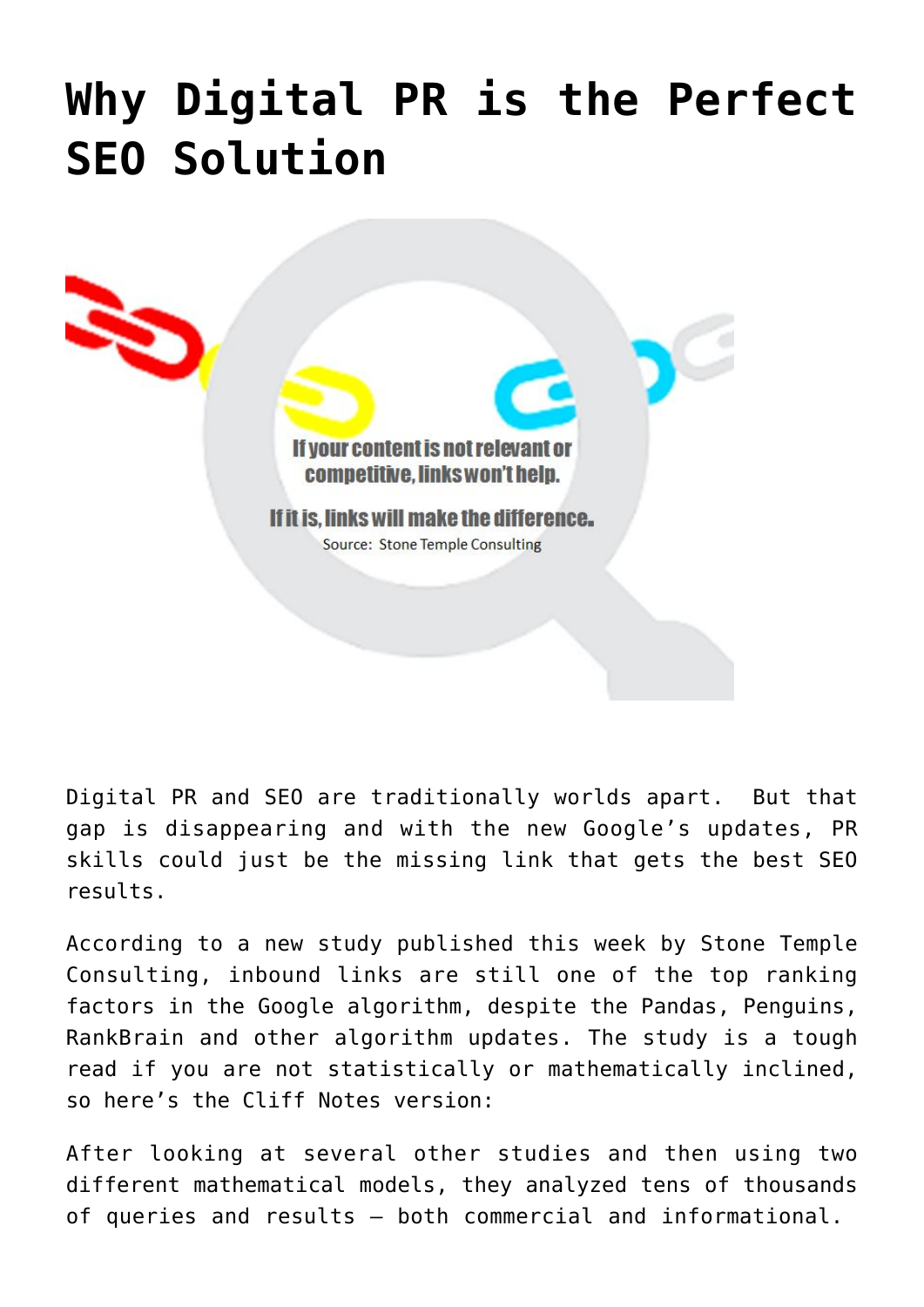## **[Why Digital PR is the Perfect](https://www.commpro.biz/why-digital-pr-is-the-perfect-seo-solution/) [SEO Solution](https://www.commpro.biz/why-digital-pr-is-the-perfect-seo-solution/)**



Digital PR and SEO are traditionally worlds apart. But that gap is disappearing and with the new Google's updates, PR skills could just be the missing link that gets the best SEO results.

According to a new study published this week by Stone Temple Consulting, inbound links are still one of the top ranking factors in the Google algorithm, despite the Pandas, Penguins, RankBrain and other algorithm updates. The study is a tough read if you are not statistically or mathematically inclined, so here's the Cliff Notes version:

After looking at several other studies and then using two different mathematical models, they analyzed tens of thousands of queries and results – both commercial and informational.